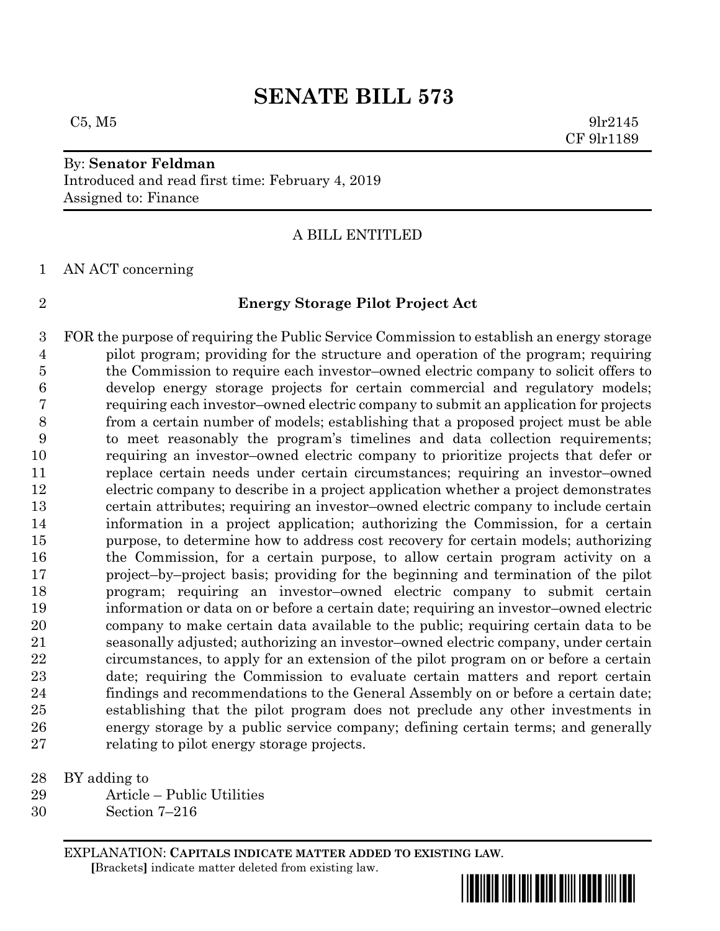## **SENATE BILL 573**

## By: **Senator Feldman** Introduced and read first time: February 4, 2019 Assigned to: Finance

A BILL ENTITLED

AN ACT concerning

## **Energy Storage Pilot Project Act**

 FOR the purpose of requiring the Public Service Commission to establish an energy storage pilot program; providing for the structure and operation of the program; requiring the Commission to require each investor–owned electric company to solicit offers to develop energy storage projects for certain commercial and regulatory models; requiring each investor–owned electric company to submit an application for projects from a certain number of models; establishing that a proposed project must be able to meet reasonably the program's timelines and data collection requirements; requiring an investor–owned electric company to prioritize projects that defer or replace certain needs under certain circumstances; requiring an investor–owned electric company to describe in a project application whether a project demonstrates certain attributes; requiring an investor–owned electric company to include certain information in a project application; authorizing the Commission, for a certain purpose, to determine how to address cost recovery for certain models; authorizing the Commission, for a certain purpose, to allow certain program activity on a project–by–project basis; providing for the beginning and termination of the pilot program; requiring an investor–owned electric company to submit certain information or data on or before a certain date; requiring an investor–owned electric company to make certain data available to the public; requiring certain data to be seasonally adjusted; authorizing an investor–owned electric company, under certain circumstances, to apply for an extension of the pilot program on or before a certain date; requiring the Commission to evaluate certain matters and report certain findings and recommendations to the General Assembly on or before a certain date; establishing that the pilot program does not preclude any other investments in energy storage by a public service company; defining certain terms; and generally relating to pilot energy storage projects.

BY adding to

- Article Public Utilities
- Section 7–216

EXPLANATION: **CAPITALS INDICATE MATTER ADDED TO EXISTING LAW**.  **[**Brackets**]** indicate matter deleted from existing law.

\*sb0573\*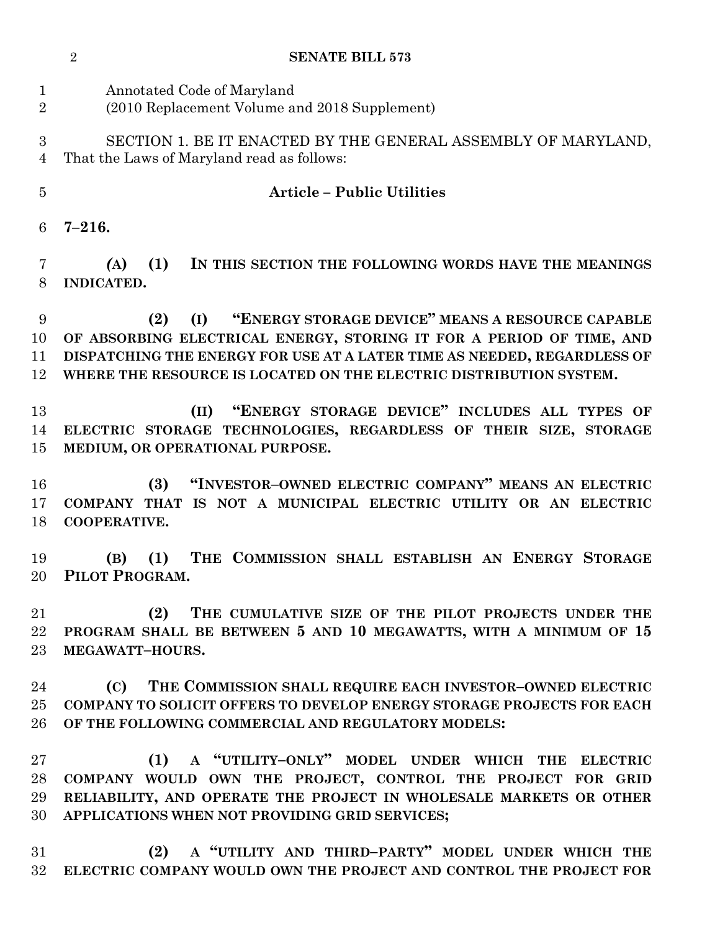|                               | $\overline{2}$<br><b>SENATE BILL 573</b>                                                                                                                                                                                                                                                |
|-------------------------------|-----------------------------------------------------------------------------------------------------------------------------------------------------------------------------------------------------------------------------------------------------------------------------------------|
| $\mathbf 1$<br>$\overline{2}$ | Annotated Code of Maryland<br>(2010 Replacement Volume and 2018 Supplement)                                                                                                                                                                                                             |
| 3<br>4                        | SECTION 1. BE IT ENACTED BY THE GENERAL ASSEMBLY OF MARYLAND,<br>That the Laws of Maryland read as follows:                                                                                                                                                                             |
| 5                             | <b>Article - Public Utilities</b>                                                                                                                                                                                                                                                       |
| 6                             | $7 - 216.$                                                                                                                                                                                                                                                                              |
| 7<br>8                        | (1)<br>IN THIS SECTION THE FOLLOWING WORDS HAVE THE MEANINGS<br>(A)<br>INDICATED.                                                                                                                                                                                                       |
| 9<br>10<br>11<br>12           | "ENERGY STORAGE DEVICE" MEANS A RESOURCE CAPABLE<br>(2)<br>(I)<br>OF ABSORBING ELECTRICAL ENERGY, STORING IT FOR A PERIOD OF TIME, AND<br>DISPATCHING THE ENERGY FOR USE AT A LATER TIME AS NEEDED, REGARDLESS OF<br>WHERE THE RESOURCE IS LOCATED ON THE ELECTRIC DISTRIBUTION SYSTEM. |
| 13<br>14<br>15                | "ENERGY STORAGE DEVICE" INCLUDES ALL TYPES OF<br>(II)<br>ELECTRIC STORAGE TECHNOLOGIES, REGARDLESS OF THEIR SIZE, STORAGE<br>MEDIUM, OR OPERATIONAL PURPOSE.                                                                                                                            |
| 16<br>17<br>18                | "INVESTOR-OWNED ELECTRIC COMPANY" MEANS AN ELECTRIC<br>(3)<br>COMPANY THAT IS NOT A MUNICIPAL ELECTRIC UTILITY OR AN ELECTRIC<br>COOPERATIVE.                                                                                                                                           |
| 19<br>20                      | THE COMMISSION SHALL ESTABLISH AN ENERGY STORAGE<br>(B)<br>(1)<br>PILOT PROGRAM.                                                                                                                                                                                                        |
| 21<br>$22\,$<br>23            | THE CUMULATIVE SIZE OF THE PILOT PROJECTS UNDER THE<br>(2)<br>PROGRAM SHALL BE BETWEEN 5 AND 10 MEGAWATTS, WITH A MINIMUM OF 15<br>MEGAWATT-HOURS.                                                                                                                                      |
| 24<br>$25\,$<br>26            | THE COMMISSION SHALL REQUIRE EACH INVESTOR-OWNED ELECTRIC<br>(C)<br><b>COMPANY TO SOLICIT OFFERS TO DEVELOP ENERGY STORAGE PROJECTS FOR EACH</b><br>OF THE FOLLOWING COMMERCIAL AND REGULATORY MODELS:                                                                                  |
| $\rm 27$<br>28<br>29<br>30    | A "UTILITY-ONLY" MODEL UNDER WHICH THE<br>(1)<br><b>ELECTRIC</b><br>COMPANY WOULD OWN THE PROJECT, CONTROL THE PROJECT FOR GRID<br>RELIABILITY, AND OPERATE THE PROJECT IN WHOLESALE MARKETS OR OTHER<br>APPLICATIONS WHEN NOT PROVIDING GRID SERVICES;                                 |
| 31<br>$32\,$                  | (2) A "UTILITY AND THIRD-PARTY" MODEL UNDER WHICH THE<br>ELECTRIC COMPANY WOULD OWN THE PROJECT AND CONTROL THE PROJECT FOR                                                                                                                                                             |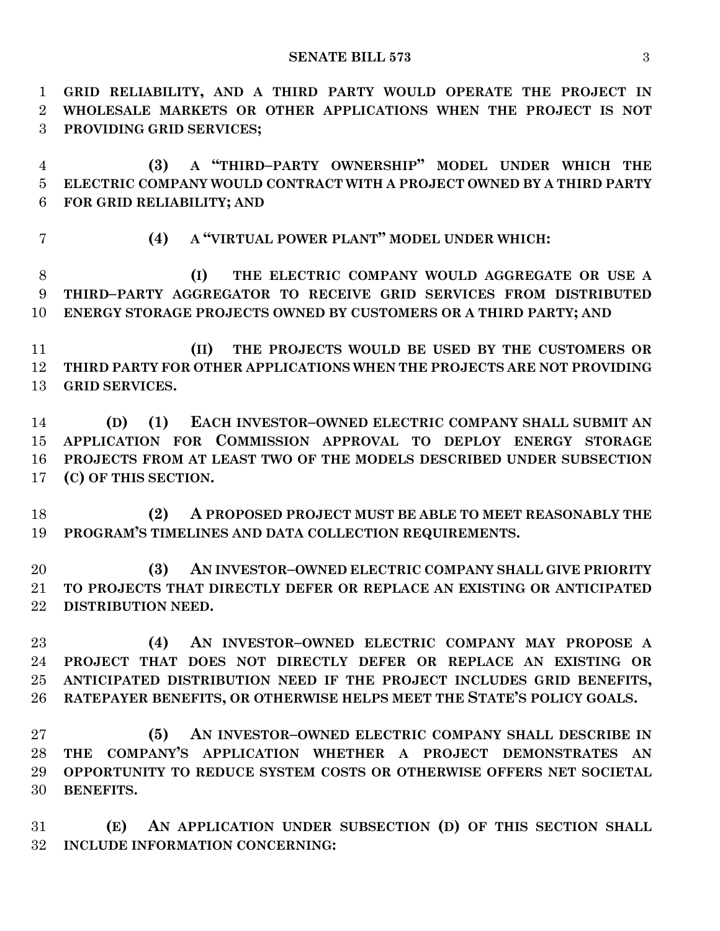**GRID RELIABILITY, AND A THIRD PARTY WOULD OPERATE THE PROJECT IN WHOLESALE MARKETS OR OTHER APPLICATIONS WHEN THE PROJECT IS NOT PROVIDING GRID SERVICES; (3) A "THIRD–PARTY OWNERSHIP" MODEL UNDER WHICH THE ELECTRIC COMPANY WOULD CONTRACT WITH A PROJECT OWNED BY A THIRD PARTY FOR GRID RELIABILITY; AND (4) A "VIRTUAL POWER PLANT" MODEL UNDER WHICH: (I) THE ELECTRIC COMPANY WOULD AGGREGATE OR USE A THIRD–PARTY AGGREGATOR TO RECEIVE GRID SERVICES FROM DISTRIBUTED ENERGY STORAGE PROJECTS OWNED BY CUSTOMERS OR A THIRD PARTY; AND (II) THE PROJECTS WOULD BE USED BY THE CUSTOMERS OR THIRD PARTY FOR OTHER APPLICATIONS WHEN THE PROJECTS ARE NOT PROVIDING GRID SERVICES. (D) (1) EACH INVESTOR–OWNED ELECTRIC COMPANY SHALL SUBMIT AN APPLICATION FOR COMMISSION APPROVAL TO DEPLOY ENERGY STORAGE PROJECTS FROM AT LEAST TWO OF THE MODELS DESCRIBED UNDER SUBSECTION (C) OF THIS SECTION. (2) A PROPOSED PROJECT MUST BE ABLE TO MEET REASONABLY THE PROGRAM'S TIMELINES AND DATA COLLECTION REQUIREMENTS. (3) AN INVESTOR–OWNED ELECTRIC COMPANY SHALL GIVE PRIORITY TO PROJECTS THAT DIRECTLY DEFER OR REPLACE AN EXISTING OR ANTICIPATED DISTRIBUTION NEED. (4) AN INVESTOR–OWNED ELECTRIC COMPANY MAY PROPOSE A PROJECT THAT DOES NOT DIRECTLY DEFER OR REPLACE AN EXISTING OR ANTICIPATED DISTRIBUTION NEED IF THE PROJECT INCLUDES GRID BENEFITS, RATEPAYER BENEFITS, OR OTHERWISE HELPS MEET THE STATE'S POLICY GOALS. (5) AN INVESTOR–OWNED ELECTRIC COMPANY SHALL DESCRIBE IN THE COMPANY'S APPLICATION WHETHER A PROJECT DEMONSTRATES AN OPPORTUNITY TO REDUCE SYSTEM COSTS OR OTHERWISE OFFERS NET SOCIETAL BENEFITS.**

 **(E) AN APPLICATION UNDER SUBSECTION (D) OF THIS SECTION SHALL INCLUDE INFORMATION CONCERNING:**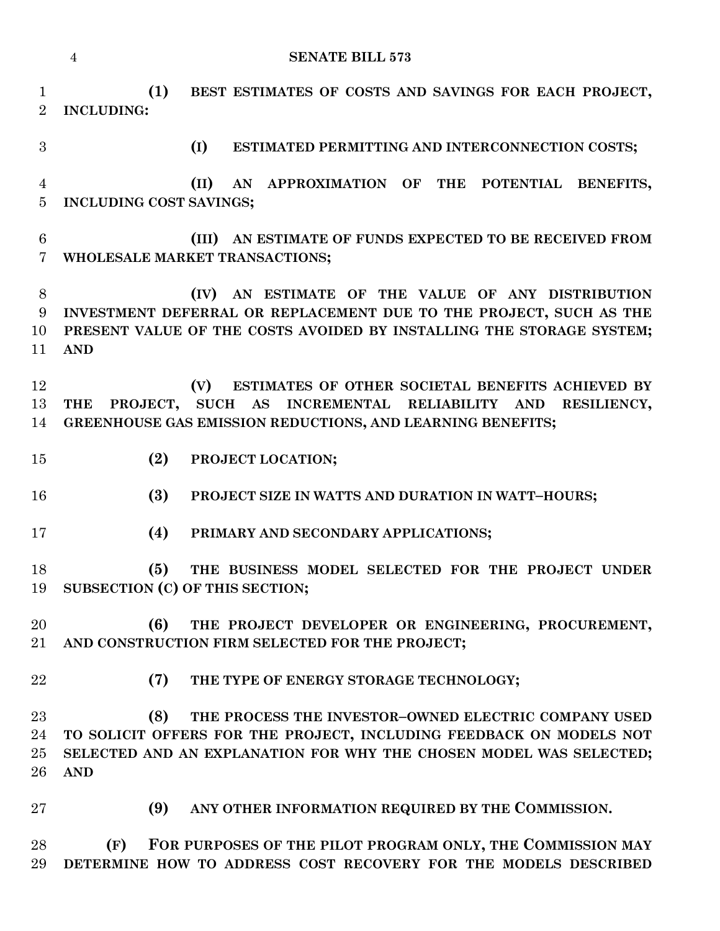|                                     | <b>SENATE BILL 573</b><br>$\overline{4}$                                                                                                                                                                               |
|-------------------------------------|------------------------------------------------------------------------------------------------------------------------------------------------------------------------------------------------------------------------|
| $\mathbf{1}$<br>$\overline{2}$      | (1)<br>BEST ESTIMATES OF COSTS AND SAVINGS FOR EACH PROJECT,<br><b>INCLUDING:</b>                                                                                                                                      |
| 3                                   | (I)<br>ESTIMATED PERMITTING AND INTERCONNECTION COSTS;                                                                                                                                                                 |
| $\overline{4}$<br>$\overline{5}$    | (II)<br>AN APPROXIMATION OF THE POTENTIAL BENEFITS,<br>INCLUDING COST SAVINGS;                                                                                                                                         |
| $\,6\,$<br>$\overline{7}$           | (III) AN ESTIMATE OF FUNDS EXPECTED TO BE RECEIVED FROM<br>WHOLESALE MARKET TRANSACTIONS;                                                                                                                              |
| $8\,$<br>$9\phantom{.}$<br>10<br>11 | AN ESTIMATE OF THE VALUE OF ANY DISTRIBUTION<br>(IV)<br>INVESTMENT DEFERRAL OR REPLACEMENT DUE TO THE PROJECT, SUCH AS THE<br>PRESENT VALUE OF THE COSTS AVOIDED BY INSTALLING THE STORAGE SYSTEM;<br><b>AND</b>       |
| 12<br>13<br>14                      | ESTIMATES OF OTHER SOCIETAL BENEFITS ACHIEVED BY<br>(V)<br>SUCH AS INCREMENTAL RELIABILITY AND<br><b>THE</b><br>PROJECT,<br>RESILIENCY,<br>GREENHOUSE GAS EMISSION REDUCTIONS, AND LEARNING BENEFITS;                  |
| 15                                  | (2)<br>PROJECT LOCATION;                                                                                                                                                                                               |
| 16                                  | (3)<br>PROJECT SIZE IN WATTS AND DURATION IN WATT-HOURS;                                                                                                                                                               |
| 17                                  | (4)<br>PRIMARY AND SECONDARY APPLICATIONS;                                                                                                                                                                             |
| 18<br>19                            | (5)<br>THE BUSINESS MODEL SELECTED FOR THE PROJECT UNDER<br>SUBSECTION (C) OF THIS SECTION;                                                                                                                            |
| 20<br>21                            | (6)<br>THE PROJECT DEVELOPER OR ENGINEERING, PROCUREMENT,<br>AND CONSTRUCTION FIRM SELECTED FOR THE PROJECT;                                                                                                           |
| 22                                  | (7)<br>THE TYPE OF ENERGY STORAGE TECHNOLOGY;                                                                                                                                                                          |
| 23<br>24<br>25<br>26                | (8)<br>THE PROCESS THE INVESTOR-OWNED ELECTRIC COMPANY USED<br>TO SOLICIT OFFERS FOR THE PROJECT, INCLUDING FEEDBACK ON MODELS NOT<br>SELECTED AND AN EXPLANATION FOR WHY THE CHOSEN MODEL WAS SELECTED;<br><b>AND</b> |
| 27                                  | ANY OTHER INFORMATION REQUIRED BY THE COMMISSION.<br>(9)                                                                                                                                                               |
| 28<br>29                            | (F)<br>FOR PURPOSES OF THE PILOT PROGRAM ONLY, THE COMMISSION MAY<br>DETERMINE HOW TO ADDRESS COST RECOVERY FOR THE MODELS DESCRIBED                                                                                   |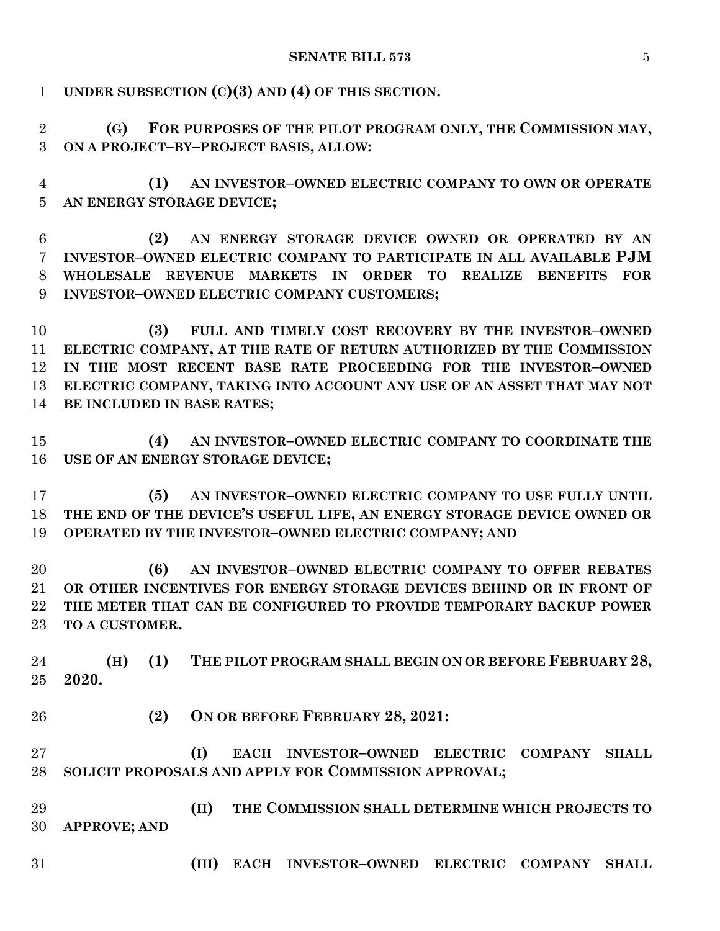| $\mathbf{1}$                     | UNDER SUBSECTION $(C)(3)$ AND $(4)$ OF THIS SECTION.                                                        |
|----------------------------------|-------------------------------------------------------------------------------------------------------------|
| $\overline{2}$<br>3              | FOR PURPOSES OF THE PILOT PROGRAM ONLY, THE COMMISSION MAY,<br>(G)<br>ON A PROJECT-BY-PROJECT BASIS, ALLOW: |
| $\overline{4}$<br>$\overline{5}$ | AN INVESTOR-OWNED ELECTRIC COMPANY TO OWN OR OPERATE<br>(1)<br>AN ENERGY STORAGE DEVICE;                    |
| 6                                | AN ENERGY STORAGE DEVICE OWNED OR OPERATED BY AN<br>(2)                                                     |
| $\overline{7}$                   | INVESTOR-OWNED ELECTRIC COMPANY TO PARTICIPATE IN ALL AVAILABLE PJM                                         |
| 8<br>9                           | WHOLESALE REVENUE MARKETS IN ORDER TO<br>REALIZE BENEFITS<br><b>FOR</b>                                     |
|                                  | INVESTOR-OWNED ELECTRIC COMPANY CUSTOMERS;                                                                  |
| 10                               | FULL AND TIMELY COST RECOVERY BY THE INVESTOR-OWNED<br>(3)                                                  |
| 11                               | ELECTRIC COMPANY, AT THE RATE OF RETURN AUTHORIZED BY THE COMMISSION                                        |
| 12                               | IN THE MOST RECENT BASE RATE PROCEEDING FOR THE INVESTOR-OWNED                                              |
| 13                               | ELECTRIC COMPANY, TAKING INTO ACCOUNT ANY USE OF AN ASSET THAT MAY NOT                                      |
| 14                               | BE INCLUDED IN BASE RATES;                                                                                  |
|                                  |                                                                                                             |
| 15                               | AN INVESTOR-OWNED ELECTRIC COMPANY TO COORDINATE THE<br>(4)                                                 |
| 16                               | USE OF AN ENERGY STORAGE DEVICE;                                                                            |
| 17                               | AN INVESTOR-OWNED ELECTRIC COMPANY TO USE FULLY UNTIL<br>(5)                                                |
| 18                               | THE END OF THE DEVICE'S USEFUL LIFE, AN ENERGY STORAGE DEVICE OWNED OR                                      |
| 19                               | OPERATED BY THE INVESTOR-OWNED ELECTRIC COMPANY; AND                                                        |
| 20                               | AN INVESTOR-OWNED ELECTRIC COMPANY TO OFFER REBATES<br>(6)                                                  |
| 21                               | OR OTHER INCENTIVES FOR ENERGY STORAGE DEVICES BEHIND OR IN FRONT OF                                        |
| 22                               | THE METER THAT CAN BE CONFIGURED TO PROVIDE TEMPORARY BACKUP POWER                                          |
| 23                               | TO A CUSTOMER.                                                                                              |
|                                  |                                                                                                             |
| 24                               | THE PILOT PROGRAM SHALL BEGIN ON OR BEFORE FEBRUARY 28,<br>(1)<br>(H)                                       |
| 25                               | 2020.                                                                                                       |
| 26                               | (2)<br>ON OR BEFORE FEBRUARY 28, 2021:                                                                      |
|                                  |                                                                                                             |
| 27                               | (I)<br>EACH INVESTOR-OWNED<br><b>ELECTRIC COMPANY</b><br><b>SHALL</b>                                       |
| 28                               | SOLICIT PROPOSALS AND APPLY FOR COMMISSION APPROVAL;                                                        |
| 29                               | (II)<br>THE COMMISSION SHALL DETERMINE WHICH PROJECTS TO                                                    |
| 30                               |                                                                                                             |
|                                  | <b>APPROVE; AND</b>                                                                                         |
| 31                               | (III)<br>EACH INVESTOR-OWNED ELECTRIC COMPANY<br><b>SHALL</b>                                               |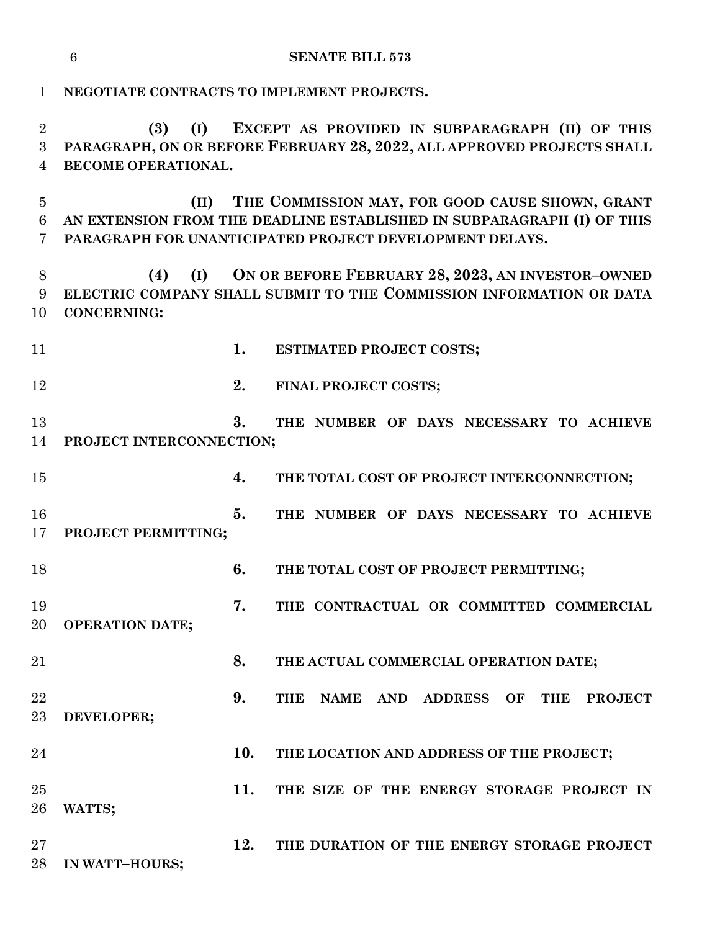|                          | $6\phantom{.}6$<br><b>SENATE BILL 573</b>                                                                                                                                                    |  |  |
|--------------------------|----------------------------------------------------------------------------------------------------------------------------------------------------------------------------------------------|--|--|
| $\mathbf 1$              | NEGOTIATE CONTRACTS TO IMPLEMENT PROJECTS.                                                                                                                                                   |  |  |
| $\overline{2}$<br>3<br>4 | EXCEPT AS PROVIDED IN SUBPARAGRAPH (II) OF THIS<br>(I)<br>(3)<br>PARAGRAPH, ON OR BEFORE FEBRUARY 28, 2022, ALL APPROVED PROJECTS SHALL<br>BECOME OPERATIONAL.                               |  |  |
| $\overline{5}$<br>6<br>7 | THE COMMISSION MAY, FOR GOOD CAUSE SHOWN, GRANT<br>(II)<br>AN EXTENSION FROM THE DEADLINE ESTABLISHED IN SUBPARAGRAPH (I) OF THIS<br>PARAGRAPH FOR UNANTICIPATED PROJECT DEVELOPMENT DELAYS. |  |  |
| 8<br>9<br>10             | (I) ON OR BEFORE FEBRUARY 28, 2023, AN INVESTOR-OWNED<br>(4)<br>ELECTRIC COMPANY SHALL SUBMIT TO THE COMMISSION INFORMATION OR DATA<br><b>CONCERNING:</b>                                    |  |  |
| 11                       | 1.<br><b>ESTIMATED PROJECT COSTS;</b>                                                                                                                                                        |  |  |
| 12                       | 2.<br>FINAL PROJECT COSTS;                                                                                                                                                                   |  |  |
| 13<br>14                 | 3.<br>THE NUMBER OF DAYS NECESSARY TO ACHIEVE<br>PROJECT INTERCONNECTION;                                                                                                                    |  |  |
| 15                       | 4.<br>THE TOTAL COST OF PROJECT INTERCONNECTION;                                                                                                                                             |  |  |
| 16<br>17                 | 5.<br>THE NUMBER OF DAYS NECESSARY TO ACHIEVE<br>PROJECT PERMITTING;                                                                                                                         |  |  |
| 18                       | 6.<br>THE TOTAL COST OF PROJECT PERMITTING;                                                                                                                                                  |  |  |
| 19<br>20                 | 7.<br>THE CONTRACTUAL OR COMMITTED COMMERCIAL<br><b>OPERATION DATE;</b>                                                                                                                      |  |  |
| 21                       | 8.<br>THE ACTUAL COMMERCIAL OPERATION DATE;                                                                                                                                                  |  |  |
| 22<br>$23\,$             | 9.<br>THE<br>NAME AND ADDRESS OF<br><b>THE</b><br><b>PROJECT</b><br>DEVELOPER;                                                                                                               |  |  |
| 24                       | 10.<br>THE LOCATION AND ADDRESS OF THE PROJECT;                                                                                                                                              |  |  |
| 25<br>26                 | 11.<br>THE SIZE OF THE ENERGY STORAGE PROJECT IN<br>WATTS;                                                                                                                                   |  |  |
| $27\,$<br>28             | 12.<br>THE DURATION OF THE ENERGY STORAGE PROJECT<br>IN WATT-HOURS;                                                                                                                          |  |  |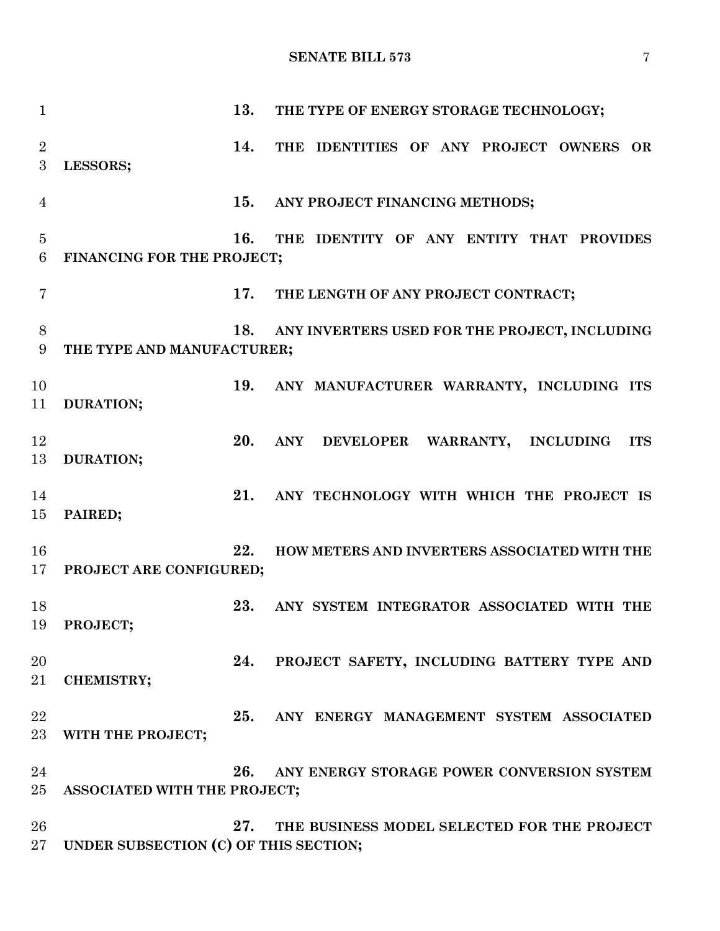**SENATE BILL 573** 7

| $\mathbf{1}$              |                                       | 13. | THE TYPE OF ENERGY STORAGE TECHNOLOGY;          |
|---------------------------|---------------------------------------|-----|-------------------------------------------------|
| $\overline{2}$            |                                       | 14. | THE IDENTITIES OF ANY PROJECT OWNERS OR         |
| $\boldsymbol{3}$          | LESSORS;                              |     |                                                 |
|                           |                                       |     |                                                 |
| $\overline{4}$            |                                       | 15. | ANY PROJECT FINANCING METHODS;                  |
|                           |                                       |     |                                                 |
| $\overline{5}$<br>$\,6\,$ | FINANCING FOR THE PROJECT;            | 16. | THE IDENTITY OF ANY ENTITY THAT PROVIDES        |
|                           |                                       |     |                                                 |
| $\overline{7}$            |                                       | 17. | THE LENGTH OF ANY PROJECT CONTRACT;             |
|                           |                                       |     |                                                 |
| 8                         |                                       | 18. | ANY INVERTERS USED FOR THE PROJECT, INCLUDING   |
| 9                         | THE TYPE AND MANUFACTURER;            |     |                                                 |
| 10                        |                                       | 19. | ANY MANUFACTURER WARRANTY, INCLUDING ITS        |
| 11                        | DURATION;                             |     |                                                 |
|                           |                                       |     |                                                 |
| 12                        |                                       | 20. | ANY DEVELOPER WARRANTY, INCLUDING<br><b>ITS</b> |
| 13                        | DURATION;                             |     |                                                 |
| 14                        |                                       | 21. | ANY TECHNOLOGY WITH WHICH THE PROJECT IS        |
| 15                        | PAIRED;                               |     |                                                 |
|                           |                                       |     |                                                 |
| 16                        |                                       | 22. | HOW METERS AND INVERTERS ASSOCIATED WITH THE    |
| 17                        | PROJECT ARE CONFIGURED;               |     |                                                 |
| 18                        |                                       | 23. | ANY SYSTEM INTEGRATOR ASSOCIATED WITH THE       |
| 19                        | PROJECT;                              |     |                                                 |
|                           |                                       |     |                                                 |
| 20                        |                                       | 24. | PROJECT SAFETY, INCLUDING BATTERY TYPE AND      |
| 21                        | <b>CHEMISTRY;</b>                     |     |                                                 |
| 22                        |                                       | 25. | ANY ENERGY MANAGEMENT SYSTEM ASSOCIATED         |
| 23                        | WITH THE PROJECT;                     |     |                                                 |
|                           |                                       |     |                                                 |
| 24                        |                                       | 26. | ANY ENERGY STORAGE POWER CONVERSION SYSTEM      |
| 25                        | ASSOCIATED WITH THE PROJECT;          |     |                                                 |
|                           |                                       | 27. |                                                 |
| 26<br>27                  | UNDER SUBSECTION (C) OF THIS SECTION; |     | THE BUSINESS MODEL SELECTED FOR THE PROJECT     |
|                           |                                       |     |                                                 |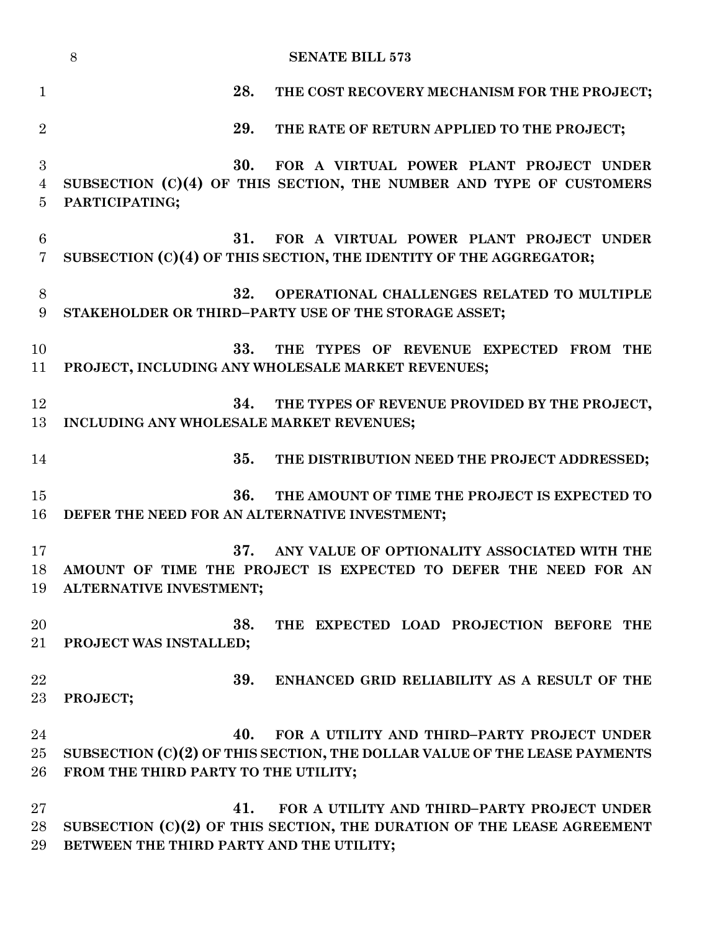|                     | <b>SENATE BILL 573</b><br>8                                                                                            |
|---------------------|------------------------------------------------------------------------------------------------------------------------|
| $\mathbf{1}$        | 28.<br>THE COST RECOVERY MECHANISM FOR THE PROJECT;                                                                    |
| $\overline{2}$      | 29.<br>THE RATE OF RETURN APPLIED TO THE PROJECT;                                                                      |
| 3<br>$\overline{4}$ | 30.<br>FOR A VIRTUAL POWER PLANT PROJECT UNDER<br>SUBSECTION (C)(4) OF THIS SECTION, THE NUMBER AND TYPE OF CUSTOMERS  |
| 5                   | PARTICIPATING;                                                                                                         |
| 6<br>$\overline{7}$ | 31.<br>FOR A VIRTUAL POWER PLANT PROJECT UNDER<br>SUBSECTION (C)(4) OF THIS SECTION, THE IDENTITY OF THE AGGREGATOR;   |
| 8<br>9              | 32.<br>OPERATIONAL CHALLENGES RELATED TO MULTIPLE<br>STAKEHOLDER OR THIRD-PARTY USE OF THE STORAGE ASSET;              |
| 10<br>11            | 33.<br>THE TYPES OF REVENUE EXPECTED FROM THE<br>PROJECT, INCLUDING ANY WHOLESALE MARKET REVENUES;                     |
| 12                  | 34.<br>THE TYPES OF REVENUE PROVIDED BY THE PROJECT,                                                                   |
| 13                  | INCLUDING ANY WHOLESALE MARKET REVENUES;                                                                               |
| 14                  | 35.<br>THE DISTRIBUTION NEED THE PROJECT ADDRESSED;                                                                    |
| 15<br>16            | 36.<br>THE AMOUNT OF TIME THE PROJECT IS EXPECTED TO<br>DEFER THE NEED FOR AN ALTERNATIVE INVESTMENT;                  |
| 17<br>18            | 37.<br>ANY VALUE OF OPTIONALITY ASSOCIATED WITH THE<br>AMOUNT OF TIME THE PROJECT IS EXPECTED TO DEFER THE NEED FOR AN |
| 19                  | ALTERNATIVE INVESTMENT;                                                                                                |
| 20<br>21            | 38.<br>THE EXPECTED LOAD PROJECTION BEFORE THE<br>PROJECT WAS INSTALLED;                                               |
| 22                  | 39.<br>ENHANCED GRID RELIABILITY AS A RESULT OF THE                                                                    |
| $23\,$              | PROJECT;                                                                                                               |
| 24                  | 40.<br>FOR A UTILITY AND THIRD-PARTY PROJECT UNDER                                                                     |
| 25<br>26            | SUBSECTION $(C)(2)$ OF THIS SECTION, THE DOLLAR VALUE OF THE LEASE PAYMENTS<br>FROM THE THIRD PARTY TO THE UTILITY;    |
| $27\,$              | 41.<br>FOR A UTILITY AND THIRD-PARTY PROJECT UNDER                                                                     |
| 28<br>29            | SUBSECTION (C)(2) OF THIS SECTION, THE DURATION OF THE LEASE AGREEMENT<br>BETWEEN THE THIRD PARTY AND THE UTILITY;     |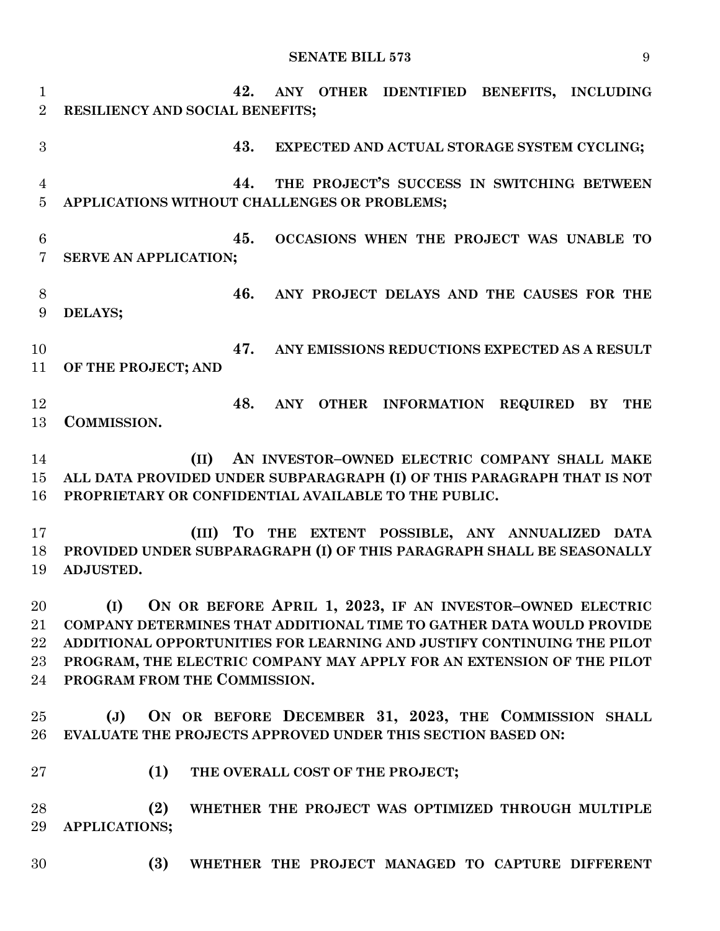## **SENATE BILL 573** 9

 **42. ANY OTHER IDENTIFIED BENEFITS, INCLUDING RESILIENCY AND SOCIAL BENEFITS; 43. EXPECTED AND ACTUAL STORAGE SYSTEM CYCLING; 44. THE PROJECT'S SUCCESS IN SWITCHING BETWEEN APPLICATIONS WITHOUT CHALLENGES OR PROBLEMS; 45. OCCASIONS WHEN THE PROJECT WAS UNABLE TO SERVE AN APPLICATION; 46. ANY PROJECT DELAYS AND THE CAUSES FOR THE DELAYS; 47. ANY EMISSIONS REDUCTIONS EXPECTED AS A RESULT OF THE PROJECT; AND 48. ANY OTHER INFORMATION REQUIRED BY THE COMMISSION. (II) AN INVESTOR–OWNED ELECTRIC COMPANY SHALL MAKE ALL DATA PROVIDED UNDER SUBPARAGRAPH (I) OF THIS PARAGRAPH THAT IS NOT PROPRIETARY OR CONFIDENTIAL AVAILABLE TO THE PUBLIC. (III) TO THE EXTENT POSSIBLE, ANY ANNUALIZED DATA PROVIDED UNDER SUBPARAGRAPH (I) OF THIS PARAGRAPH SHALL BE SEASONALLY ADJUSTED. (I) ON OR BEFORE APRIL 1, 2023, IF AN INVESTOR–OWNED ELECTRIC COMPANY DETERMINES THAT ADDITIONAL TIME TO GATHER DATA WOULD PROVIDE ADDITIONAL OPPORTUNITIES FOR LEARNING AND JUSTIFY CONTINUING THE PILOT PROGRAM, THE ELECTRIC COMPANY MAY APPLY FOR AN EXTENSION OF THE PILOT PROGRAM FROM THE COMMISSION. (J) ON OR BEFORE DECEMBER 31, 2023, THE COMMISSION SHALL EVALUATE THE PROJECTS APPROVED UNDER THIS SECTION BASED ON: (1) THE OVERALL COST OF THE PROJECT; (2) WHETHER THE PROJECT WAS OPTIMIZED THROUGH MULTIPLE APPLICATIONS; (3) WHETHER THE PROJECT MANAGED TO CAPTURE DIFFERENT**